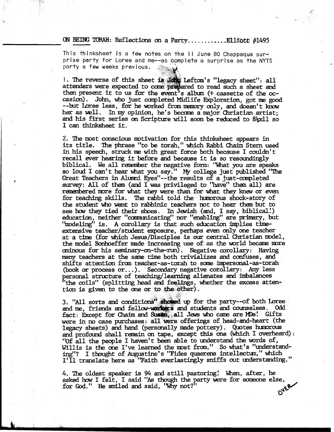## **ON BEING TORAH: Reflections on a Party.............E11fott #1495**

This thinksheet is a few notes On the II June 80 Chappaqua surprise party for Loree and me--as complete a surprise as the NYTS party a few weeks previous.

**I. The reverse of this sheet is 'Leftan's "legacy sheet": all**  attenders were expected to come prepared to read such a sheet and then present it to us for the event's album (+ cassette of the occasion). John, who just completed Midlife Exploration, got me good --but Loree less, for he worked from memory only, and doesn't know **her as well. In my opinion, he's became a major Christian artist;**  and his first series on Scripture will soon be reduced to 8<sup>1</sup><sub>2</sub>x11 so **I can thinksheet it.** 

**2. The most conscious motivation for this thinksheet appears in its title. The phrase "to be torah," which Rabbi Chaim Stern used in his speech, struck me with great force both because I couldn't recall ever hearing it before and because it is so resoundingly biblical. We all remember the negative fonn: "What you are speaks so loud I can't hear what you say." My college just published "The Great Teachers in Alumni Eyes"--the results of a just-completed survey: All of then (and I was privileged to "have" them all) are**  remembered more for what they were than for what they knew or even **for teaching skills. The rabbi told the humorous shock-story of the student who went to rabbinic teachers not to hear then but to see how they tied their shoes. In Jewish (and, I say, biblical!) education, neither "communicating" nor "enabling" are primary, but**  "modeling" is. A corollary is that such education implies time**extensive teacher/student exposure, perhaps even only one teacher at a time (for which Jesus/Disciples is our central Christian model, the model Bonhoeffer made increasing use of as the world became more cainous for his seminary-on-the-run). Negative corollary: Having many teachers at the same time both trivializes and confuses, and shifts attention fram teacher-as-torah to some impersonal-as-torah (bodk or process or...). Secondary negative corollary: Any less personal structure of teaching/learning alienates and imbalances "the coils" (splitting head and feelings, whether the excess attention is given to the one or to the other).** 

3. "All sorts and conditions" showed up for the party--of both Loree **amdme, friends and fellow-ToikqrS and students and counselees. Odd**  fact: Except for Chaim and Susan, all Jews who came are MDs! Gifts **were in no case purchases: all were offerings of head-and-heart (the legacy sheets) and hand (pemonally made pottery). Quotes humorous and profound shall remain an tape, except this one (Which I overheard): "Of all the people I haven't been able to understand the words of, Willis is the one I've learned the most from." So what's "understanding'? I thaught of Augustine's "Fides quaerens intellectum," which I'll translate here as 'Faith everlastingly sniffs out understanding."** 

4. The oldest speaker is 94 and still pastoring! When, after, he asked how I felt, I said "As though the party were for someone else, for God." He smiled and said, "Why not?" for God." He smiled and said, "Why not?"